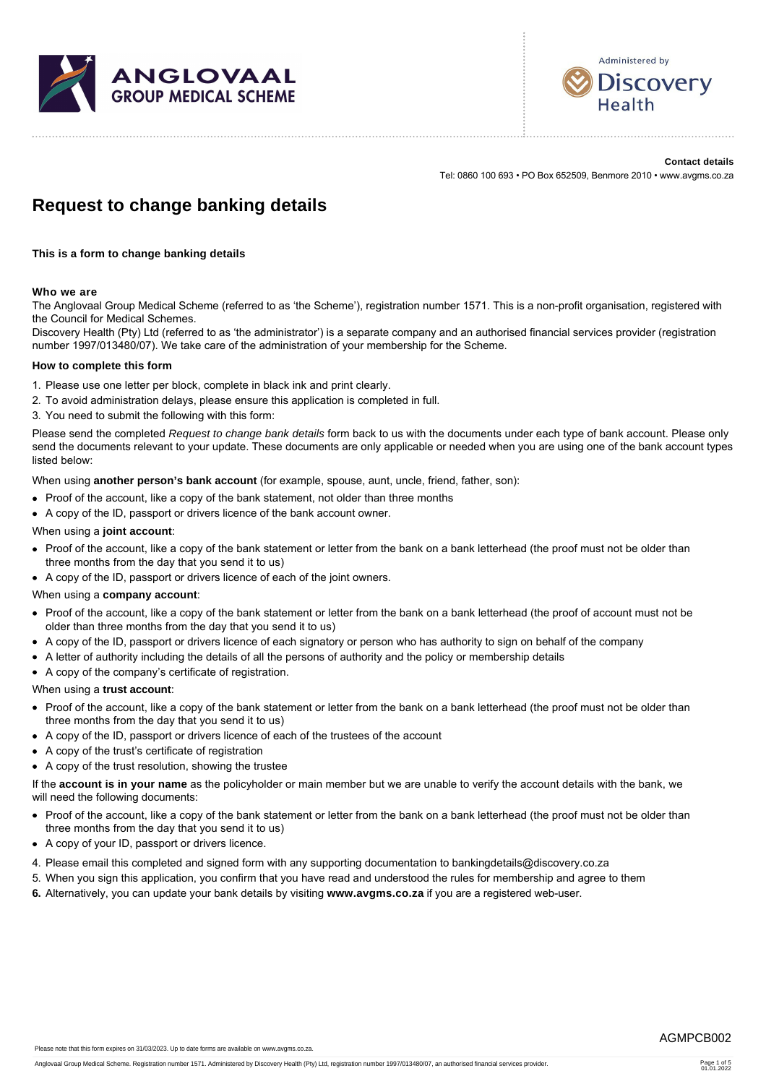



**Contact details** Tel: 0860 100 693 • PO Box 652509, Benmore 2010 • www.avgms.co.za

# **Request to change banking details**

**This is a form to change banking details**

# **Who we are**

The Anglovaal Group Medical Scheme (referred to as 'the Scheme'), registration number 1571. This is a non-profit organisation, registered with the Council for Medical Schemes.

Discovery Health (Pty) Ltd (referred to as 'the administrator') is a separate company and an authorised financial services provider (registration number 1997/013480/07). We take care of the administration of your membership for the Scheme.

#### **How to complete this form**

- 1. Please use one letter per block, complete in black ink and print clearly.
- 2. To avoid administration delays, please ensure this application is completed in full.
- 3. You need to submit the following with this form:

Please send the completed *Request to change bank details* form back to us with the documents under each type of bank account. Please only send the documents relevant to your update. These documents are only applicable or needed when you are using one of the bank account types listed below:

When using **another person's bank account** (for example, spouse, aunt, uncle, friend, father, son):

- Proof of the account, like a copy of the bank statement, not older than three months
- A copy of the ID, passport or drivers licence of the bank account owner.

# When using a **joint account**:

- Proof of the account, like a copy of the bank statement or letter from the bank on a bank letterhead (the proof must not be older than three months from the day that you send it to us)
- A copy of the ID, passport or drivers licence of each of the joint owners.

#### When using a **company account**:

- Proof of the account, like a copy of the bank statement or letter from the bank on a bank letterhead (the proof of account must not be older than three months from the day that you send it to us)
- A copy of the ID, passport or drivers licence of each signatory or person who has authority to sign on behalf of the company
- A letter of authority including the details of all the persons of authority and the policy or membership details
- A copy of the company's certificate of registration.

#### When using a **trust account**:

- Proof of the account, like a copy of the bank statement or letter from the bank on a bank letterhead (the proof must not be older than three months from the day that you send it to us)
- A copy of the ID, passport or drivers licence of each of the trustees of the account
- A copy of the trust's certificate of registration
- A copy of the trust resolution, showing the trustee
- If the **account is in your name** as the policyholder or main member but we are unable to verify the account details with the bank, we will need the following documents:
- Proof of the account, like a copy of the bank statement or letter from the bank on a bank letterhead (the proof must not be older than three months from the day that you send it to us)
- A copy of your ID, passport or drivers licence.
- 4. Please email this completed and signed form with any supporting documentation to bankingdetails@discovery.co.za
- 5. When you sign this application, you confirm that you have read and understood the rules for membership and agree to them
- **6.** Alternatively, you can update your bank details by visiting **www.avgms.co.za** if you are a registered web-user.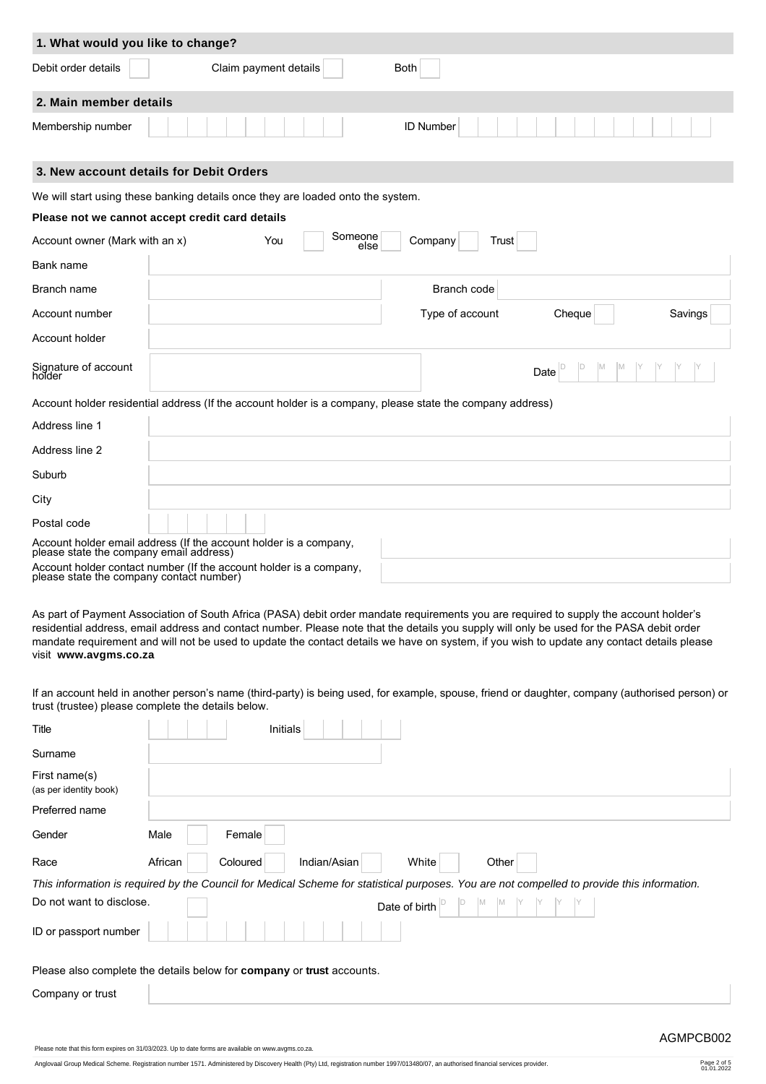| 1. What would you like to change? |                                                                                                             |                  |                   |
|-----------------------------------|-------------------------------------------------------------------------------------------------------------|------------------|-------------------|
| Debit order details               | Claim payment details                                                                                       | <b>Both</b>      |                   |
| 2. Main member details            |                                                                                                             |                  |                   |
| Membership number                 |                                                                                                             | <b>ID Number</b> |                   |
|                                   | 3. New account details for Debit Orders                                                                     |                  |                   |
|                                   | We will start using these banking details once they are loaded onto the system.                             |                  |                   |
|                                   | Please not we cannot accept credit card details                                                             |                  |                   |
| Account owner (Mark with an x)    | Someone<br>You<br>else                                                                                      | Company<br>Trust |                   |
| Bank name                         |                                                                                                             |                  |                   |
| Branch name                       |                                                                                                             | Branch code      |                   |
| Account number                    |                                                                                                             | Type of account  | Cheque<br>Savings |
| Account holder                    |                                                                                                             |                  |                   |
| Signature of account<br>holder    |                                                                                                             |                  | ID<br>Date        |
|                                   | Account holder residential address (If the account holder is a company, please state the company address)   |                  |                   |
| Address line 1                    |                                                                                                             |                  |                   |
| Address line 2                    |                                                                                                             |                  |                   |
| Suburb                            |                                                                                                             |                  |                   |
| City                              |                                                                                                             |                  |                   |
| Postal code                       |                                                                                                             |                  |                   |
|                                   | Account holder email address (If the account holder is a company, please state the company email address)   |                  |                   |
|                                   | Account holder contact number (If the account holder is a company, please state the company contact number) |                  |                   |

As part of Payment Association of South Africa (PASA) debit order mandate requirements you are required to supply the account holder's residential address, email address and contact number. Please note that the details you supply will only be used for the PASA debit order mandate requirement and will not be used to update the contact details we have on system, if you wish to update any contact details please visit  **www.avgms.co.za**

If an account held in another person's name (third-party) is being used, for example, spouse, friend or daughter, company (authorised person) or trust (trustee) please complete the details below.

| Title                                   | Initials                                                                                                                                    |
|-----------------------------------------|---------------------------------------------------------------------------------------------------------------------------------------------|
| Surname                                 |                                                                                                                                             |
| First name(s)<br>(as per identity book) |                                                                                                                                             |
| Preferred name                          |                                                                                                                                             |
| Gender                                  | Male<br>Female                                                                                                                              |
| Race                                    | African<br>Coloured<br>Indian/Asian<br>White<br>Other                                                                                       |
|                                         | This information is required by the Council for Medical Scheme for statistical purposes. You are not compelled to provide this information. |
| Do not want to disclose.                | Date of birth                                                                                                                               |
| ID or passport number                   |                                                                                                                                             |
|                                         | Please also complete the details below for company or trust accounts.                                                                       |
| Company or trust                        |                                                                                                                                             |
|                                         |                                                                                                                                             |

Please note that this form expires on 31/03/2023. Up to date forms are available on www.avgms.co.za.

Anglovaal Group Medical Scheme. Registration number 1571. Administered by Discovery Health (Pty) Ltd, registration number 1997/013480/07, an authorised financial services provider. Page 2 of 5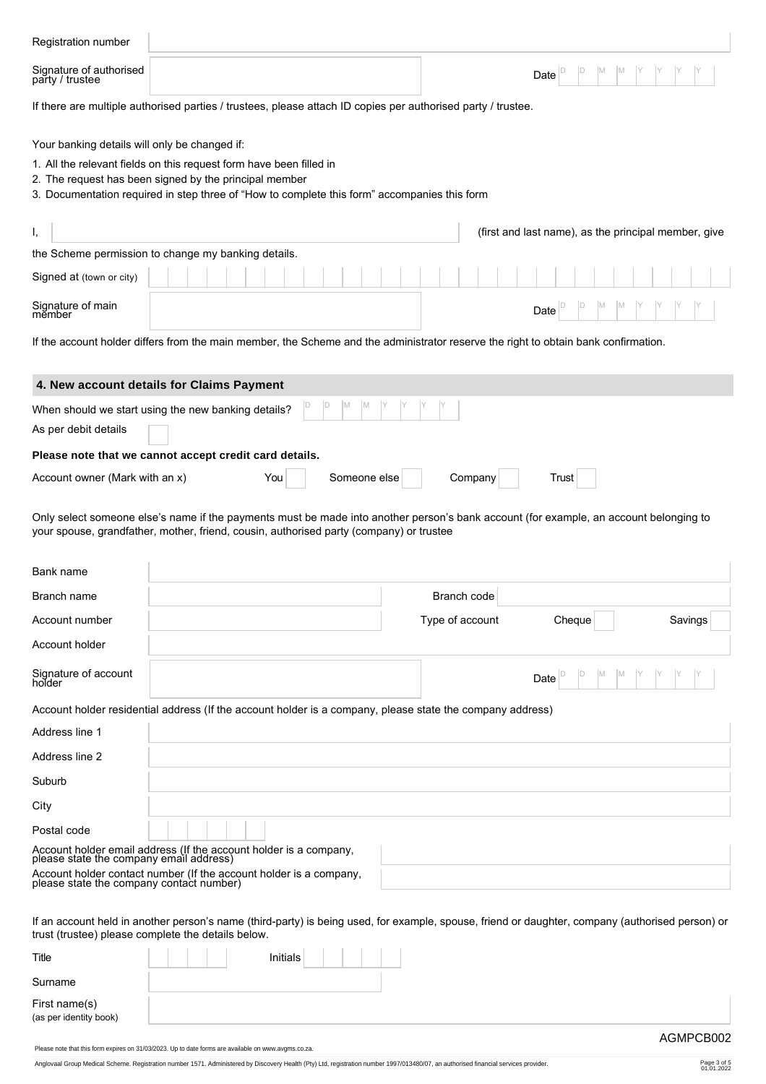| Registration number                                                                                          |                                                                                                                                                                                                                                  |  |  |  |  |  |  |  |  |
|--------------------------------------------------------------------------------------------------------------|----------------------------------------------------------------------------------------------------------------------------------------------------------------------------------------------------------------------------------|--|--|--|--|--|--|--|--|
| Signature of authorised<br>party / trustee                                                                   | Date                                                                                                                                                                                                                             |  |  |  |  |  |  |  |  |
| If there are multiple authorised parties / trustees, please attach ID copies per authorised party / trustee. |                                                                                                                                                                                                                                  |  |  |  |  |  |  |  |  |
| Your banking details will only be changed if:                                                                | 1. All the relevant fields on this request form have been filled in<br>2. The request has been signed by the principal member<br>3. Documentation required in step three of "How to complete this form" accompanies this form    |  |  |  |  |  |  |  |  |
| Ι,                                                                                                           | (first and last name), as the principal member, give                                                                                                                                                                             |  |  |  |  |  |  |  |  |
|                                                                                                              | the Scheme permission to change my banking details.                                                                                                                                                                              |  |  |  |  |  |  |  |  |
| Signed at (town or city)                                                                                     |                                                                                                                                                                                                                                  |  |  |  |  |  |  |  |  |
| Signature of main<br>member                                                                                  | Date                                                                                                                                                                                                                             |  |  |  |  |  |  |  |  |
|                                                                                                              | If the account holder differs from the main member, the Scheme and the administrator reserve the right to obtain bank confirmation.                                                                                              |  |  |  |  |  |  |  |  |
|                                                                                                              | 4. New account details for Claims Payment                                                                                                                                                                                        |  |  |  |  |  |  |  |  |
|                                                                                                              | When should we start using the new banking details?                                                                                                                                                                              |  |  |  |  |  |  |  |  |
| As per debit details                                                                                         |                                                                                                                                                                                                                                  |  |  |  |  |  |  |  |  |
|                                                                                                              | Please note that we cannot accept credit card details.                                                                                                                                                                           |  |  |  |  |  |  |  |  |
| Account owner (Mark with an x)                                                                               | Someone else<br>You<br>Company<br>Trust                                                                                                                                                                                          |  |  |  |  |  |  |  |  |
|                                                                                                              | Only select someone else's name if the payments must be made into another person's bank account (for example, an account belonging to<br>your spouse, grandfather, mother, friend, cousin, authorised party (company) or trustee |  |  |  |  |  |  |  |  |
| Bank name                                                                                                    |                                                                                                                                                                                                                                  |  |  |  |  |  |  |  |  |
| Branch name                                                                                                  | Branch code                                                                                                                                                                                                                      |  |  |  |  |  |  |  |  |
| Account number                                                                                               | Type of account<br>Cheque<br>Savings                                                                                                                                                                                             |  |  |  |  |  |  |  |  |
| Account holder                                                                                               |                                                                                                                                                                                                                                  |  |  |  |  |  |  |  |  |
| Signature of account<br>holder                                                                               | M<br>M<br>Date                                                                                                                                                                                                                   |  |  |  |  |  |  |  |  |
|                                                                                                              | Account holder residential address (If the account holder is a company, please state the company address)                                                                                                                        |  |  |  |  |  |  |  |  |
| Address line 1                                                                                               |                                                                                                                                                                                                                                  |  |  |  |  |  |  |  |  |
| Address line 2                                                                                               |                                                                                                                                                                                                                                  |  |  |  |  |  |  |  |  |
| Suburb                                                                                                       |                                                                                                                                                                                                                                  |  |  |  |  |  |  |  |  |
| City                                                                                                         |                                                                                                                                                                                                                                  |  |  |  |  |  |  |  |  |
| Postal code                                                                                                  |                                                                                                                                                                                                                                  |  |  |  |  |  |  |  |  |
| please state the company email address)                                                                      | Account holder email address (If the account holder is a company,<br>Account holder contact number (If the account holder is a company, please state the company contact number)                                                 |  |  |  |  |  |  |  |  |
|                                                                                                              | If an account held in another person's name (third-party) is being used, for example, spouse, friend or daughter, company (authorised person) or<br>trust (trustee) please complete the details below.                           |  |  |  |  |  |  |  |  |
| Title                                                                                                        | Initials                                                                                                                                                                                                                         |  |  |  |  |  |  |  |  |
| Surname                                                                                                      |                                                                                                                                                                                                                                  |  |  |  |  |  |  |  |  |
| First name(s)                                                                                                |                                                                                                                                                                                                                                  |  |  |  |  |  |  |  |  |
| (as per identity book)                                                                                       |                                                                                                                                                                                                                                  |  |  |  |  |  |  |  |  |

Please note that this form expires on 31/03/2023. Up to date forms are available on www.avgms.co.za.

Anglovaal Group Medical Scheme. Registration number 1571. Administered by Discovery Health (Pty) Ltd, registration number 1997/013480/07, an authorised financial services provider. Page 3 of 5

Page 3 of 5<br>01.01.2022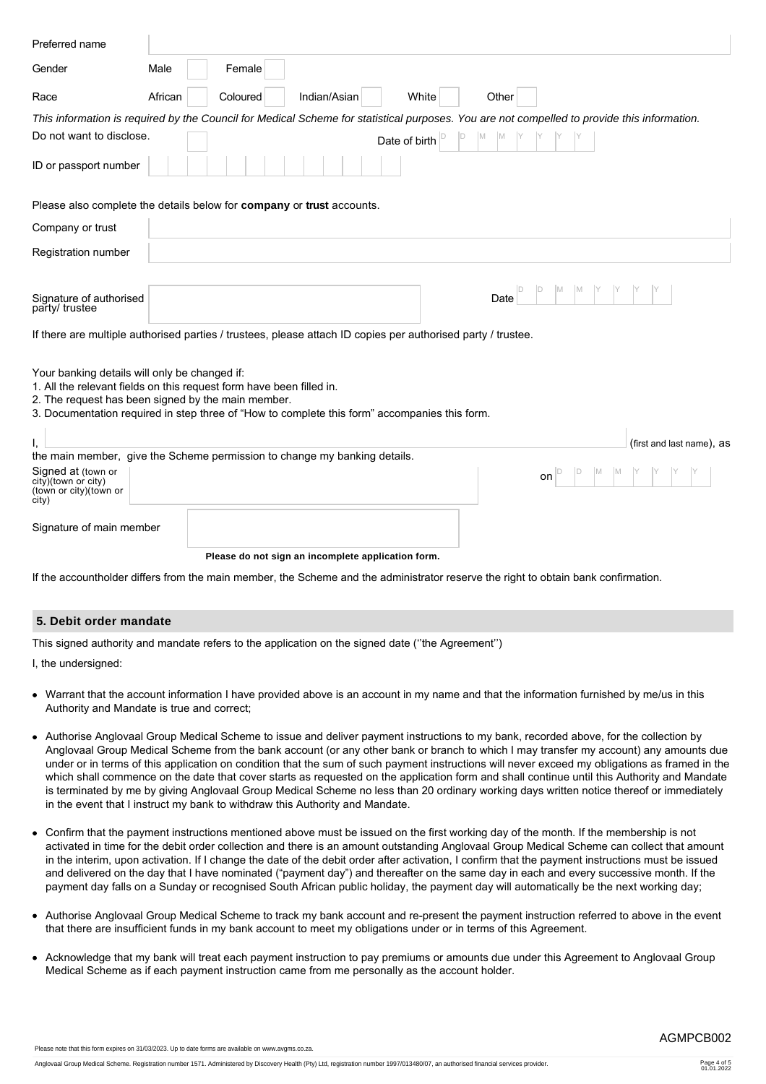| Preferred name                                                                |                                                                                                                                                                                                                             |
|-------------------------------------------------------------------------------|-----------------------------------------------------------------------------------------------------------------------------------------------------------------------------------------------------------------------------|
| Gender                                                                        | Male<br>Female                                                                                                                                                                                                              |
| Race                                                                          | Indian/Asian<br>White<br>Other<br>African<br>Coloured                                                                                                                                                                       |
|                                                                               | This information is required by the Council for Medical Scheme for statistical purposes. You are not compelled to provide this information.                                                                                 |
| Do not want to disclose.                                                      | Date of birth $\vert$ <sup>D</sup>                                                                                                                                                                                          |
| ID or passport number                                                         |                                                                                                                                                                                                                             |
|                                                                               | Please also complete the details below for company or trust accounts.                                                                                                                                                       |
| Company or trust                                                              |                                                                                                                                                                                                                             |
| Registration number                                                           |                                                                                                                                                                                                                             |
|                                                                               |                                                                                                                                                                                                                             |
| Signature of authorised<br>party/ trustee                                     | Date                                                                                                                                                                                                                        |
|                                                                               | If there are multiple authorised parties / trustees, please attach ID copies per authorised party / trustee.                                                                                                                |
| Your banking details will only be changed if:                                 | 1. All the relevant fields on this request form have been filled in.<br>2. The request has been signed by the main member.<br>3. Documentation required in step three of "How to complete this form" accompanies this form. |
|                                                                               | (first and last name), as                                                                                                                                                                                                   |
|                                                                               | the main member, give the Scheme permission to change my banking details.                                                                                                                                                   |
| Signed at (town or<br>city)(town or city)<br>(town or city) (town or<br>city) | ID<br>on                                                                                                                                                                                                                    |
| Signature of main member                                                      |                                                                                                                                                                                                                             |
|                                                                               | Please do not sign an incomplete application form.                                                                                                                                                                          |
|                                                                               | If the accountholder differs from the main member, the Scheme and the administrator reserve the right to obtain bank confirmation.                                                                                          |

# **5. Debit order mandate**

This signed authority and mandate refers to the application on the signed date (''the Agreement'')

I, the undersigned:

- Warrant that the account information I have provided above is an account in my name and that the information furnished by me/us in this Authority and Mandate is true and correct;
- Authorise Anglovaal Group Medical Scheme to issue and deliver payment instructions to my bank, recorded above, for the collection by Anglovaal Group Medical Scheme from the bank account (or any other bank or branch to which I may transfer my account) any amounts due under or in terms of this application on condition that the sum of such payment instructions will never exceed my obligations as framed in the which shall commence on the date that cover starts as requested on the application form and shall continue until this Authority and Mandate is terminated by me by giving Anglovaal Group Medical Scheme no less than 20 ordinary working days written notice thereof or immediately in the event that I instruct my bank to withdraw this Authority and Mandate.
- Confirm that the payment instructions mentioned above must be issued on the first working day of the month. If the membership is not activated in time for the debit order collection and there is an amount outstanding Anglovaal Group Medical Scheme can collect that amount in the interim, upon activation. If I change the date of the debit order after activation, I confirm that the payment instructions must be issued and delivered on the day that I have nominated ("payment day") and thereafter on the same day in each and every successive month. If the payment day falls on a Sunday or recognised South African public holiday, the payment day will automatically be the next working day;
- Authorise Anglovaal Group Medical Scheme to track my bank account and re-present the payment instruction referred to above in the event that there are insufficient funds in my bank account to meet my obligations under or in terms of this Agreement.
- Acknowledge that my bank will treat each payment instruction to pay premiums or amounts due under this Agreement to Anglovaal Group Medical Scheme as if each payment instruction came from me personally as the account holder.